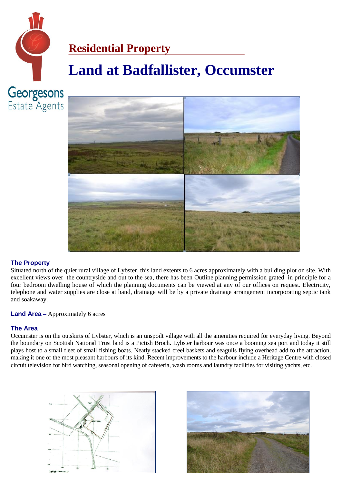## **Residential Property**

# **Land at Badfallister, Occumster**



### **The Property**

Situated north of the quiet rural village of Lybster, this land extents to 6 acres approximately with a building plot on site. With excellent views over the countryside and out to the sea, there has been Outline planning permission grated in principle for a four bedroom dwelling house of which the planning documents can be viewed at any of our offices on request. Electricity, telephone and water supplies are close at hand, drainage will be by a private drainage arrangement incorporating septic tank and soakaway.

#### **Land Area** – Approximately 6 acres

#### **The Area**

Occumster is on the outskirts of Lybster, which is an unspoilt village with all the amenities required for everyday living. Beyond the boundary on Scottish National Trust land is a Pictish Broch. Lybster harbour was once a booming sea port and today it still plays host to a small fleet of small fishing boats. Neatly stacked creel baskets and seagulls flying overhead add to the attraction, making it one of the most pleasant harbours of its kind. Recent improvements to the harbour include a Heritage Centre with closed circuit television for bird watching, seasonal opening of cafeteria, wash rooms and laundry facilities for visiting yachts, etc.